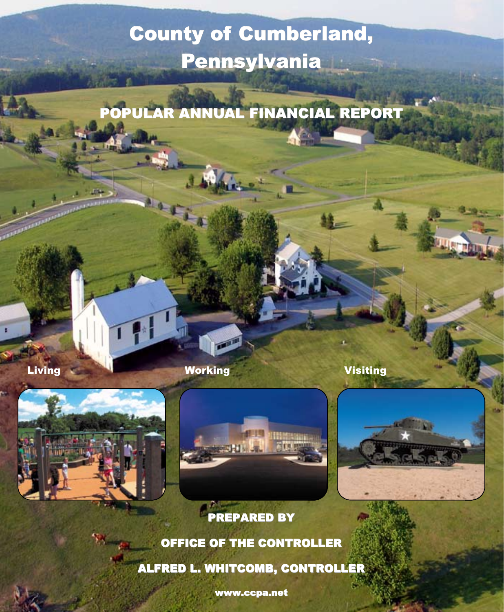# **County of Cumberland, Pennsylvania**

POPULAR ANNUAL FINANCIAL REPORT

**Living Working Working Working** Visiting







**PREPARED BY** OFFICE OF THE CONTROLLER ALFRED L. WHITCOMB, CONTROLLER

www.ccpa.net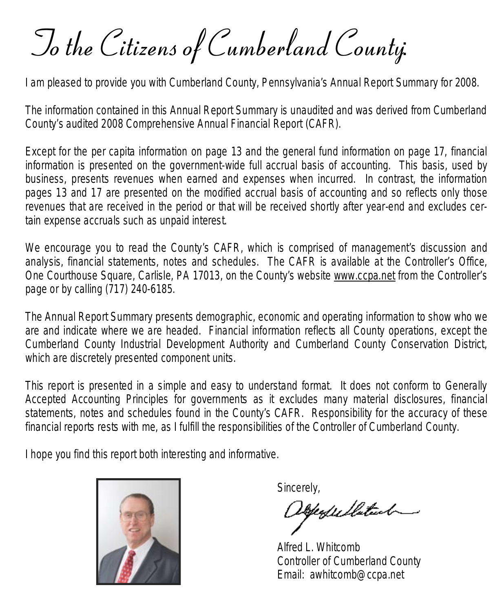To the Citizens of Cumberland County:

I am pleased to provide you with Cumberland County, Pennsylvania's Annual Report Summary for 2008.

The information contained in this Annual Report Summary is unaudited and was derived from Cumberland County's audited 2008 Comprehensive Annual Financial Report (CAFR).

Except for the per capita information on page 13 and the general fund information on page 17, financial information is presented on the government-wide full accrual basis of accounting. This basis, used by business, presents revenues when earned and expenses when incurred. In contrast, the information pages 13 and 17 are presented on the modified accrual basis of accounting and so reflects only those revenues that are received in the period or that will be received shortly after year-end and excludes certain expense accruals such as unpaid interest.

We encourage you to read the County's CAFR, which is comprised of management's discussion and analysis, financial statements, notes and schedules. The CAFR is available at the Controller's Office, One Courthouse Square, Carlisle, PA 17013, on the County's website www.ccpa.net from the Controller's page or by calling (717) 240-6185.

The Annual Report Summary presents demographic, economic and operating information to show who we are and indicate where we are headed. Financial information reflects all County operations, except the Cumberland County Industrial Development Authority and Cumberland County Conservation District, which are discretely presented component units.

This report is presented in a simple and easy to understand format. It does not conform to Generally Accepted Accounting Principles for governments as it excludes many material disclosures, financial statements, notes and schedules found in the County's CAFR. Responsibility for the accuracy of these financial reports rests with me, as I fulfill the responsibilities of the Controller of Cumberland County.

I hope you find this report both interesting and informative.



Sincerely,<br>Disperfect fluiteach

Alfred L. Whitcomb Controller of Cumberland County Email: awhitcomb@ccpa.net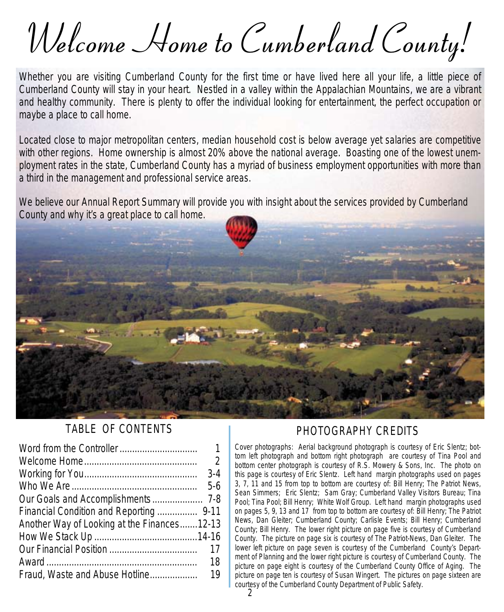Welcome Home to Cumberland County!

Whether you are visiting Cumberland County for the first time or have lived here all your life, a little piece of Cumberland County will stay in your heart. Nestled in a valley within the Appalachian Mountains, we are a vibrant and healthy community. There is plenty to offer the individual looking for entertainment, the perfect occupation or maybe a place to call home.

Located close to major metropolitan centers, median household cost is below average yet salaries are competitive with other regions. Home ownership is almost 20% above the national average. Boasting one of the lowest unemployment rates in the state, Cumberland County has a myriad of business employment opportunities with more than a third in the management and professional service areas.

We believe our Annual Report Summary will provide you with insight about the services provided by Cumberland County and why it's a great place to call home.



#### TABLE OF CONTENTS

|                                             | $\mathbf{1}$   |
|---------------------------------------------|----------------|
|                                             | $\overline{2}$ |
|                                             | $3-4$          |
| $5-6$                                       |                |
|                                             |                |
| Financial Condition and Reporting  9-11     |                |
| Another Way of Looking at the Finances12-13 |                |
|                                             |                |
|                                             | 17             |
|                                             | 18             |
| Fraud, Waste and Abuse Hotline              | 19             |

#### PHOTOGRAPHY CREDITS

*Cover photographs*: Aerial *background photograph* is courtesy of Eric Slentz; *bottom left photograph* and *bottom right photograph* are courtesy of Tina Pool and *bottom center photograph* is courtesy of R.S. Mowery & Sons, Inc. The photo on this page is courtesy of Eric Slentz. *Left hand margin photographs used on pages 3, 7, 11 and 15 from top to bottom* are courtesy of: Bill Henry; *The Patriot News*, Sean Simmers; Eric Slentz; Sam Gray; Cumberland Valley Visitors Bureau; Tina Pool; Tina Pool; Bill Henry; White Wolf Group. *Left hand margin photographs used on pages 5, 9, 13 and 17 from top to bottom* are courtesy of: Bill Henry; *The Patriot News*, Dan Gleiter; Cumberland County; Carlisle Events; Bill Henry; Cumberland County; Bill Henry. The *lower right picture on page five* is courtesy of Cumberland County. The picture on *page six* is courtesy of The Patriot-News, Dan Gleiter. The *lower left picture on page seven* is courtesy of the Cumberland County's Department of Planning and the *lower right picture* is courtesy of Cumberland County. The picture on *page eight* is courtesy of the Cumberland County Office of Aging. The picture on *page ten* is courtesy of Susan Wingert. The pictures on page sixteen are courtesy of the Cumberland County Department of Public Safety.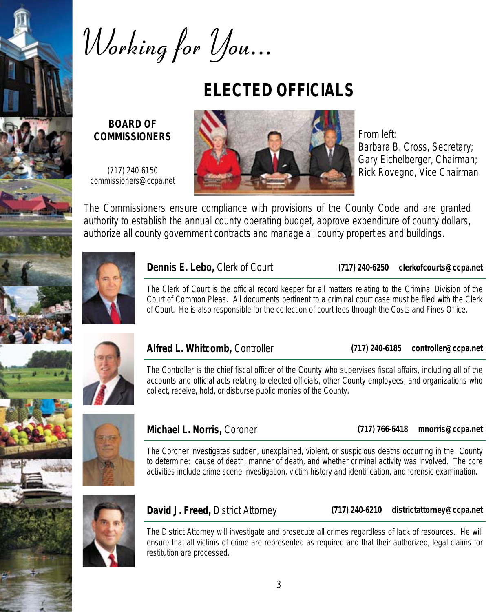

Working for *You...* 

## **ELECTED OFFICIALS**

**BOARD OF COMMISSIONERS** 

(717) 240-6150 commissioners@ccpa.net



From left: Barbara B. Cross, Secretary; Gary Eichelberger, Chairman; Rick Rovegno, Vice Chairman

The Commissioners ensure compliance with provisions of the County Code and are granted authority to establish the annual county operating budget, approve expenditure of county dollars, authorize all county government contracts and manage all county properties and buildings.



#### **Dennis E. Lebo,** Clerk of Court

**(717) 240-6250 clerkofcourts@ccpa.net** 

The Clerk of Court is the official record keeper for all matters relating to the Criminal Division of the Court of Common Pleas. All documents pertinent to a criminal court case must be filed with the Clerk of Court. He is also responsible for the collection of court fees through the Costs and Fines Office.



#### **Alfred L. Whitcomb,** Controller

**(717) 240-6185 controller@ccpa.net** 

The Controller is the chief fiscal officer of the County who supervises fiscal affairs, including all of the accounts and official acts relating to elected officials, other County employees, and organizations who collect, receive, hold, or disburse public monies of the County.





#### **Michael L. Norris,** Coroner

**(717) 766-6418 mnorris@ccpa.net** 

The Coroner investigates sudden, unexplained, violent, or suspicious deaths occurring in the County to determine: cause of death, manner of death, and whether criminal activity was involved. The core activities include crime scene investigation, victim history and identification, and forensic examination.

### **David J. Freed,** District Attorney

**(717) 240-6210 districtattorney@ccpa.net** 

The District Attorney will investigate and prosecute all crimes regardless of lack of resources. He will ensure that all victims of crime are represented as required and that their authorized, legal claims for restitution are processed.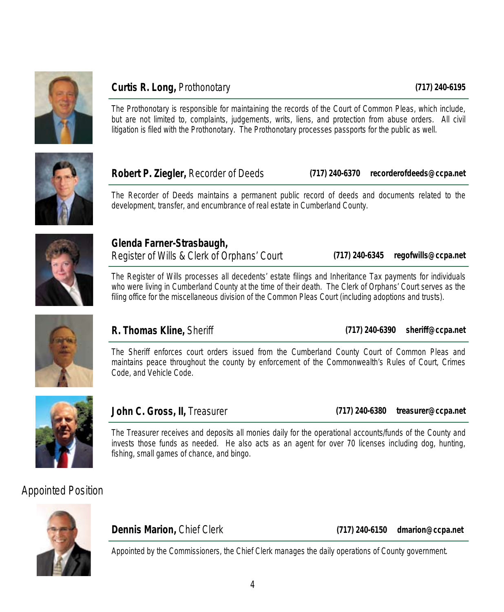

#### **Curtis R. Long,** Prothonotary

The Prothonotary is responsible for maintaining the records of the Court of Common Pleas, which include, but are not limited to, complaints, judgements, writs, liens, and protection from abuse orders. All civil litigation is filed with the Prothonotary. The Prothonotary processes passports for the public as well.



**Robert P. Ziegler,** Recorder of Deeds

**(717) 240-6370 recorderofdeeds@ccpa.net** 

The Recorder of Deeds maintains a permanent public record of deeds and documents related to the development, transfer, and encumbrance of real estate in Cumberland County.



**Glenda Farner-Strasbaugh,**  Register of Wills & Clerk of Orphans' Court

**(717) 240-6345 regofwills@ccpa.net** 

The Register of Wills processes all decedents' estate filings and Inheritance Tax payments for individuals who were living in Cumberland County at the time of their death. The Clerk of Orphans' Court serves as the filing office for the miscellaneous division of the Common Pleas Court (including adoptions and trusts).



#### **R. Thomas Kline,** Sheriff

**(717) 240-6390 sheriff@ccpa.net** 

The Sheriff enforces court orders issued from the Cumberland County Court of Common Pleas and maintains peace throughout the county by enforcement of the Commonwealth's Rules of Court, Crimes Code, and Vehicle Code.



**John C. Gross, II,** Treasurer

**(717) 240-6380 treasurer@ccpa.net** 

The Treasurer receives and deposits all monies daily for the operational accounts/funds of the County and invests those funds as needed. He also acts as an agent for over 70 licenses including dog, hunting, fishing, small games of chance, and bingo.

### *Appointed Position*



**Dennis Marion,** Chief Clerk

**(717) 240-6150 dmarion@ccpa.net** 

Appointed by the Commissioners, the Chief Clerk manages the daily operations of County government.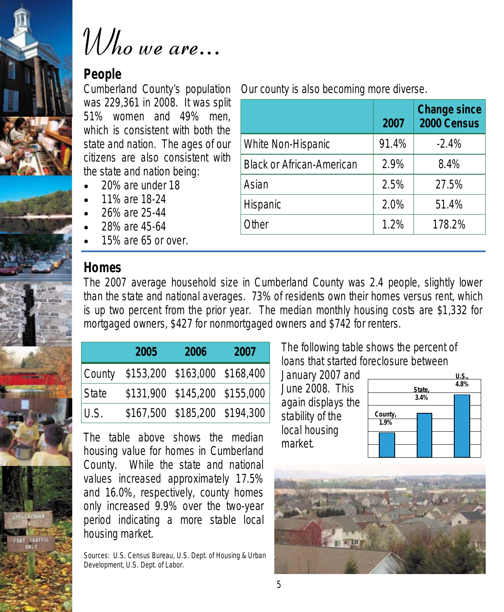



## **People**

Cumberland County's population was 229,361 in 2008. It was split 51% women and 49% men, which is consistent with both the state and nation. The ages of our citizens are also consistent with the state and nation being:

- 20% are under 18
- 11% are 18-24
- 26% are 25-44
- 28% are 45-64
- 15% are 65 or over.

### **Homes**

Our county is also becoming more diverse.

|                                  | 2007  | <b>Change since</b><br>2000 Census |
|----------------------------------|-------|------------------------------------|
| <b>White Non-Hispanic</b>        | 91.4% | $-2.4%$                            |
| <b>Black or African-American</b> | 2.9%  | 8.4%                               |
| Asian                            | 2.5%  | 27.5%                              |
| Hispanic                         | 2.0%  | 51.4%                              |
| <b>Other</b>                     | 1.2%  | 178.2%                             |

The 2007 average household size in Cumberland County was 2.4 people, slightly lower than the state and national averages. 73% of residents own their homes versus rent, which is up two percent from the prior year. The median monthly housing costs are \$1,332 for mortgaged owners, \$427 for nonmortgaged owners and \$742 for renters.

|       | 2005                                 | 2006                             | 2007 |
|-------|--------------------------------------|----------------------------------|------|
|       | County \$153,200 \$163,000 \$168,400 |                                  |      |
| State |                                      | \$131,900 \$145,200 \$155,000    |      |
| U.S.  |                                      | $$167,500$ $$185,200$ $$194,300$ |      |

The table above shows the median housing value for homes in Cumberland County. While the state and national values increased approximately 17.5% and 16.0%, respectively, county homes only increased 9.9% over the two-year period indicating a more stable local housing market.

Sources: U.S. Census Bureau, U.S. Dept. of Housing & Urban Development, U.S. Dept. of Labor.

The following table shows the percent of loans that started foreclosure between

January 2007 and June 2008. This again displays the stability of the local housing market.



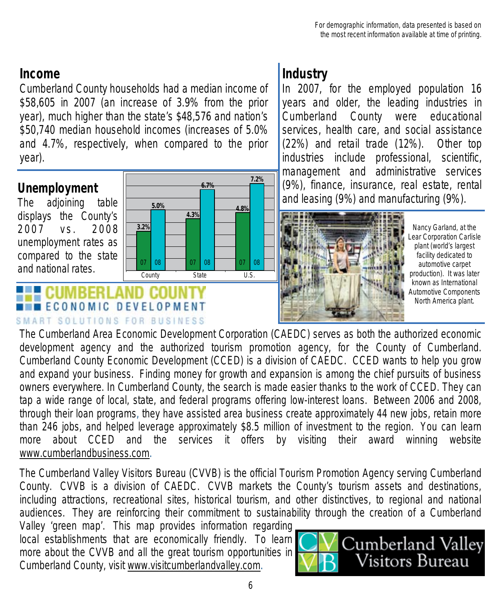### **Income**

Cumberland County households had a median income of \$58,605 in 2007 (an increase of 3.9% from the prior year), much higher than the state's \$48,576 and nation's \$50,740 median household incomes (increases of 5.0% and 4.7%, respectively, when compared to the prior year).

### **Unemployment**

The adjoining table displays the County's 2007 vs. 2008 unemployment rates as compared to the state and national rates.



## **ECONOMIC DEVELOPMENT** SMART SOLUTIONS FOR BUSINESS

## **Industry**

In 2007, for the employed population 16 years and older, the leading industries in Cumberland County were educational services, health care, and social assistance (22%) and retail trade (12%). Other top industries include professional, scientific, management and administrative services (9%), finance, insurance, real estate, rental and leasing (9%) and manufacturing (9%).



Nancy Garland, at the Lear Corporation Carlisle plant (world's largest facility dedicated to automotive carpet production). It was later known as International Automotive Components North America plant.

The Cumberland Area Economic Development Corporation (CAEDC) serves as both the authorized economic development agency and the authorized tourism promotion agency, for the County of Cumberland. Cumberland County Economic Development (CCED) is a division of CAEDC. CCED wants to help you grow and expand your business. Finding money for growth and expansion is among the chief pursuits of business owners everywhere. In Cumberland County, the search is made easier thanks to the work of CCED. They can tap a wide range of local, state, and federal programs offering low-interest loans. Between 2006 and 2008, through their loan programs, they have assisted area business create approximately 44 new jobs, retain more than 246 jobs, and helped leverage approximately \$8.5 million of investment to the region. You can learn more about CCED and the services it offers by visiting their award winning website www.cumberlandbusiness.com.

The Cumberland Valley Visitors Bureau (CVVB) is the official Tourism Promotion Agency serving Cumberland County. CVVB is a division of CAEDC. CVVB markets the County's tourism assets and destinations, including attractions, recreational sites, historical tourism, and other distinctives, to regional and national audiences. They are reinforcing their commitment to sustainability through the creation of a Cumberland Valley 'green map'. This map provides information regarding

local establishments that are economically friendly. To learn more about the CVVB and all the great tourism opportunities in Cumberland County, visit www.visitcumberlandvalley.com.

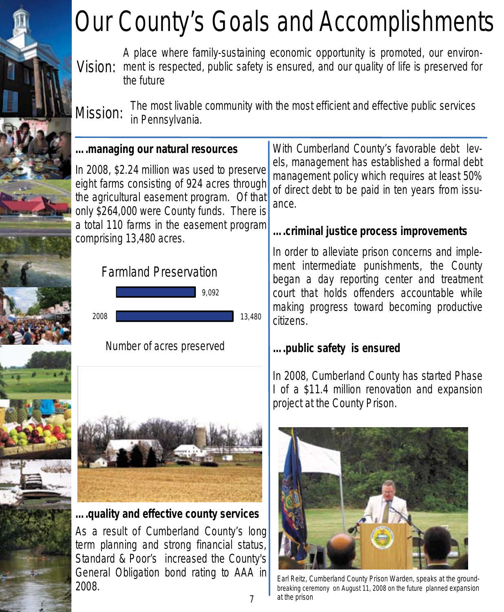# Our County's Goals and Accomplishments

Vision: ment is respected, public safety is ensured, and our quality of life is preserved for A place where family-sustaining economic opportunity is promoted, our environthe future

Mission: The most livable community with the most efficient and effective public services in Pennsylvania.

#### **….managing our natural resources**

In 2008, \$2.24 million was used to preserve eight farms consisting of 924 acres through the agricultural easement program. Of that only \$264,000 were County funds. There is a total 110 farms in the easement program comprising 13,480 acres.



2008

Number of acres preserved



**….quality and effective county services** 

As a result of Cumberland County's long term planning and strong financial status, Standard & Poor's increased the County's General Obligation bond rating to AAA in 2008.

With Cumberland County's favorable debt levels, management has established a formal debt management policy which requires at least 50% of direct debt to be paid in ten years from issuance.

### **….criminal justice process improvements**

In order to alleviate prison concerns and implement intermediate punishments, the County began a day reporting center and treatment court that holds offenders accountable while making progress toward becoming productive citizens.

#### **….public safety is ensured**

In 2008, Cumberland County has started Phase I of a \$11.4 million renovation and expansion project at the County Prison.



Earl Reitz, Cumberland County Prison Warden, speaks at the groundbreaking ceremony on August 11, 2008 on the future planned expansion at the prison

13,480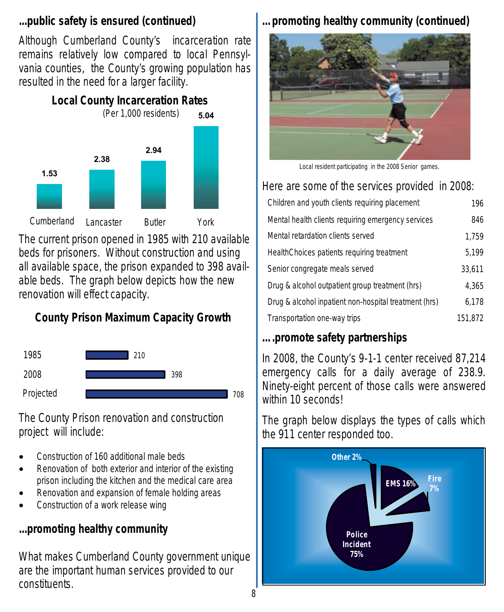#### **...public safety is ensured (continued)**

Although Cumberland County's incarceration rate remains relatively low compared to local Pennsylvania counties, the County's growing population has resulted in the need for a larger facility.



The current prison opened in 1985 with 210 available beds for prisoners. Without construction and using all available space, the prison expanded to 398 available beds. The graph below depicts how the new renovation will effect capacity.

## **County Prison Maximum Capacity Growth**



The County Prison renovation and construction project will include:

- Construction of 160 additional male beds
- Renovation of both exterior and interior of the existing prison including the kitchen and the medical care area
- Renovation and expansion of female holding areas
- Construction of a work release wing

## **...promoting healthy community**

What makes Cumberland County government unique are the important human services provided to our constituents.

## **…promoting healthy community (continued)**



*Local resident participating in the 2008 Senior games.* 

## Here are some of the services provided in 2008:

| Children and youth clients requiring placement        | 196     |
|-------------------------------------------------------|---------|
| Mental health clients requiring emergency services    | 846     |
| Mental retardation clients served                     | 1,759   |
| HealthChoices patients requiring treatment            | 5,199   |
| Senior congregate meals served                        | 33.611  |
| Drug & alcohol outpatient group treatment (hrs)       | 4.365   |
| Drug & alcohol inpatient non-hospital treatment (hrs) | 6,178   |
| Transportation one-way trips                          | 151,872 |
|                                                       |         |

## **….promote safety partnerships**

In 2008, the County's 9-1-1 center received 87,214 emergency calls for a daily average of 238.9. Ninety-eight percent of those calls were answered within 10 seconds!

The graph below displays the types of calls which the 911 center responded too.

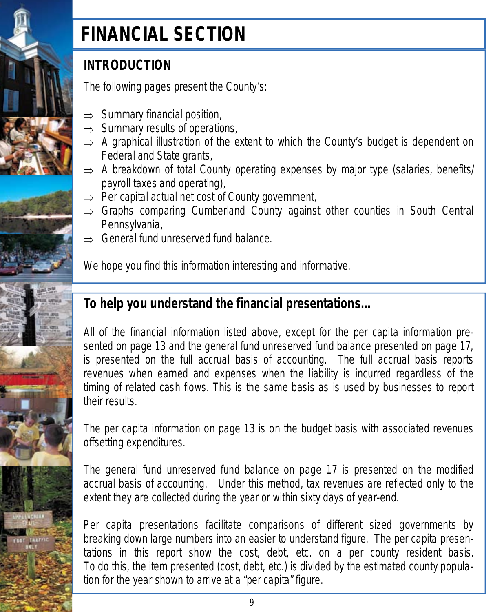

## **FINANCIAL SECTION**

## **INTRODUCTION**

The following pages present the County's:

- $\Rightarrow$  Summary financial position,
- $\Rightarrow$  Summary results of operations,
- $\Rightarrow$  A graphical illustration of the extent to which the County's budget is dependent on Federal and State grants,
- $\Rightarrow$  A breakdown of total County operating expenses by major type (salaries, benefits/ payroll taxes and operating),
- $\Rightarrow$  Per capital actual net cost of County government,
- $\Rightarrow$  Graphs comparing Cumberland County against other counties in South Central Pennsylvania,
- ⇒ General fund unreserved fund balance.

We hope you find this information interesting and informative.

## **To help you understand the financial presentations…**

All of the financial information listed above, except for the per capita information presented on page 13 and the general fund unreserved fund balance presented on page 17, is presented on the full accrual basis of accounting. The full accrual basis reports revenues when earned and expenses when the liability is incurred regardless of the timing of related cash flows. This is the same basis as is used by businesses to report their results.

The per capita information on page 13 is on the budget basis with associated revenues offsetting expenditures.

The general fund unreserved fund balance on page 17 is presented on the modified accrual basis of accounting. Under this method, tax revenues are reflected only to the extent they are collected during the year or within sixty days of year-end.

Per capita presentations facilitate comparisons of different sized governments by breaking down large numbers into an easier to understand figure. The per capita presentations in this report show the cost, debt, etc. on a per county resident basis. To do this, the item presented (cost, debt, etc.) is divided by the estimated county population for the year shown to arrive at a "per capita" figure.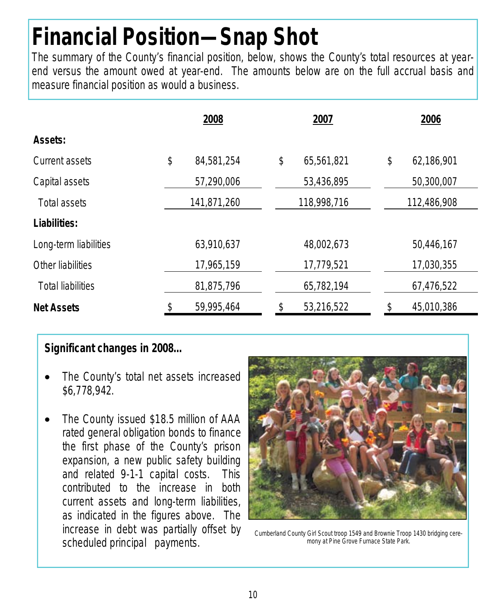# **Financial Position—Snap Shot**

The summary of the County's financial position, below, shows the County's total resources at yearend versus the amount owed at year-end. The amounts below are on the full accrual basis and measure financial position as would a business.

|                          | 2008             | 2007             | 2006             |
|--------------------------|------------------|------------------|------------------|
| Assets:                  |                  |                  |                  |
| Current assets           | \$<br>84,581,254 | \$<br>65,561,821 | \$<br>62,186,901 |
| Capital assets           | 57,290,006       | 53,436,895       | 50,300,007       |
| Total assets             | 141,871,260      | 118,998,716      | 112,486,908      |
| Liabilities:             |                  |                  |                  |
| Long-term liabilities    | 63,910,637       | 48,002,673       | 50,446,167       |
| Other liabilities        | 17,965,159       | 17,779,521       | 17,030,355       |
| <b>Total liabilities</b> | 81,875,796       | 65,782,194       | 67,476,522       |
| <b>Net Assets</b>        | 59,995,464       | 53,216,522       | \$<br>45,010,386 |

#### **Significant changes in 2008…**

- The County's total net assets increased \$6,778,942.
- The County issued \$18.5 million of AAA rated general obligation bonds to finance the first phase of the County's prison expansion, a new public safety building and related 9-1-1 capital costs. This contributed to the increase in both current assets and long-term liabilities, as indicated in the figures above. The increase in debt was partially offset by scheduled principal payments.



Cumberland County Girl Scout troop 1549 and Brownie Troop 1430 bridging ceremony at Pine Grove Furnace State Park.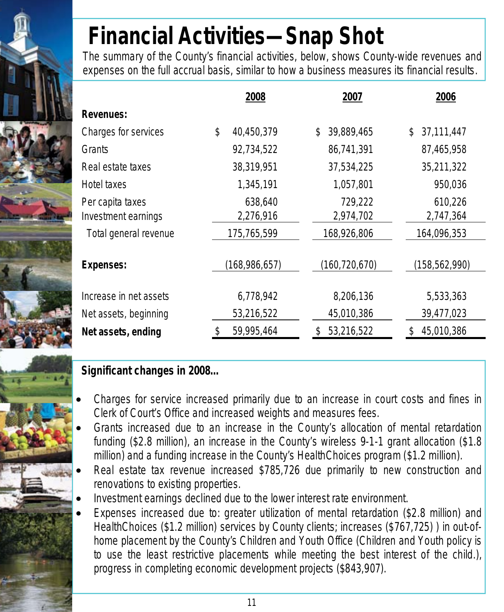# **Financial Activities—Snap Shot**

The summary of the County's financial activities, below, shows County-wide revenues and expenses on the full accrual basis, similar to how a business measures its financial results.

|                        | 2008             | 2007            | 2006          |
|------------------------|------------------|-----------------|---------------|
| <b>Revenues:</b>       |                  |                 |               |
| Charges for services   | \$<br>40,450,379 | 39,889,465      | 37,111,447    |
| Grants                 | 92,734,522       | 86,741,391      | 87,465,958    |
| Real estate taxes      | 38,319,951       | 37,534,225      | 35,211,322    |
| Hotel taxes            | 1,345,191        | 1,057,801       | 950,036       |
| Per capita taxes       | 638,640          | 729,222         | 610,226       |
| Investment earnings    | 2,276,916        | 2,974,702       | 2,747,364     |
| Total general revenue  | 175,765,599      | 168,926,806     | 164,096,353   |
| <b>Expenses:</b>       | (168,986,657)    | (160, 720, 670) | (158,562,990) |
| Increase in net assets | 6,778,942        | 8,206,136       | 5,533,363     |
| Net assets, beginning  | 53,216,522       | 45,010,386      | 39,477,023    |
| Net assets, ending     | 59,995,464       | 53,216,522      | 45,010,386    |

### **Significant changes in 2008…**

- Charges for service increased primarily due to an increase in court costs and fines in Clerk of Court's Office and increased weights and measures fees.
- Grants increased due to an increase in the County's allocation of mental retardation funding (\$2.8 million), an increase in the County's wireless 9-1-1 grant allocation (\$1.8 million) and a funding increase in the County's HealthChoices program (\$1.2 million).
- Real estate tax revenue increased \$785,726 due primarily to new construction and renovations to existing properties.
- Investment earnings declined due to the lower interest rate environment.
- Expenses increased due to: greater utilization of mental retardation (\$2.8 million) and HealthChoices (\$1.2 million) services by County clients; increases (\$767,725) ) in out-ofhome placement by the County's Children and Youth Office (Children and Youth policy is to use the least restrictive placements while meeting the best interest of the child.), progress in completing economic development projects (\$843,907).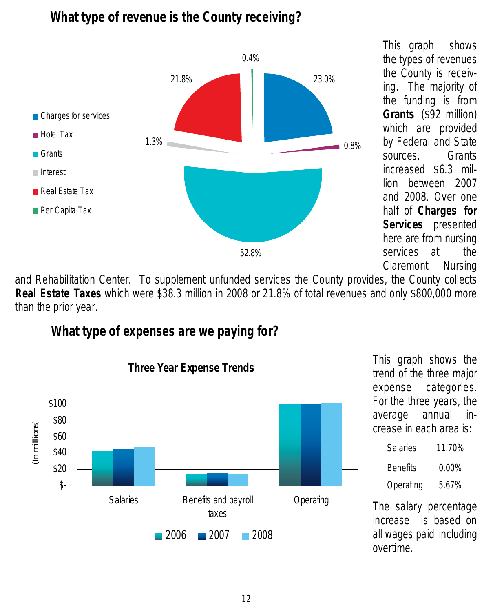## **What type of revenue is the County receiving?**



This graph shows the types of revenues the County is receiving. The majority of the funding is from **Grants** (\$92 million) which are provided by Federal and State sources. Grants increased \$6.3 million between 2007 and 2008. Over one half of **Charges for Services** presented here are from nursing services at the Claremont Nursing

and Rehabilitation Center. To supplement unfunded services the County provides, the County collects **Real Estate Taxes** which were \$38.3 million in 2008 or 21.8% of total revenues and only \$800,000 more than the prior year.

## **What type of expenses are we paying for?**



This graph shows the trend of the three major expense categories. For the three years, the average annual increase in each area is:

| Salaries        | 11.70%   |
|-----------------|----------|
| <b>Benefits</b> | $0.00\%$ |
| Operating       | 5.67%    |

The salary percentage increase is based on all wages paid including overtime.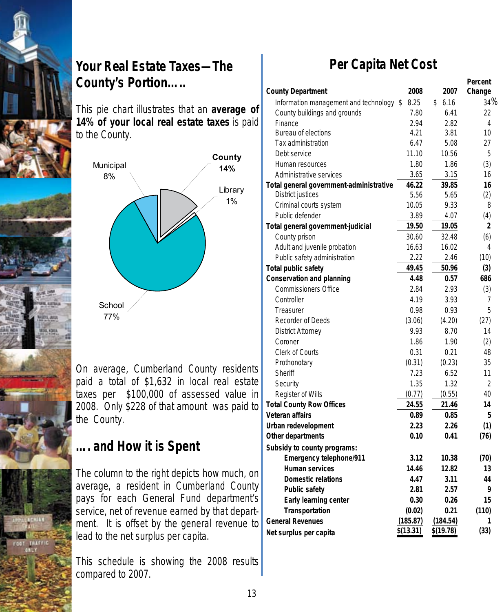

## **Your Real Estate Taxes—The County's Portion…..**

This pie chart illustrates that an **average of 14% of your local real estate taxes** is paid to the County.



On average, Cumberland County residents paid a total of \$1,632 in local real estate taxes per \$100,000 of assessed value in 2008. Only \$228 of that amount was paid to the County.

## **…. and How it is Spent**

The column to the right depicts how much, on average, a resident in Cumberland County pays for each General Fund department's service, net of revenue earned by that department. It is offset by the general revenue to lead to the net surplus per capita.

This schedule is showing the 2008 results compared to 2007.

## **Per Capita Net Cost**

|                                          |           |            | Percent |
|------------------------------------------|-----------|------------|---------|
| <b>County Department</b>                 | 2008      | 2007       | Change  |
| Information management and technology \$ | 8.25      | \$<br>6.16 | 34%     |
| County buildings and grounds             | 7.80      | 6.41       | 22      |
| Finance                                  | 2.94      | 2.82       | 4       |
| <b>Bureau of elections</b>               | 4.21      | 3.81       | 10      |
| Tax administration                       | 6.47      | 5.08       | 27      |
| Debt service                             | 11.10     | 10.56      | 5       |
| Human resources                          | 1.80      | 1.86       | (3)     |
| Administrative services                  | 3.65      | 3.15       | 16      |
| Total general government-administrative  | 46.22     | 39.85      | 16      |
| <b>District justices</b>                 | 5.56      | 5.65       | (2)     |
| Criminal courts system                   | 10.05     | 9.33       | 8       |
| Public defender                          | 3.89      | 4.07       | (4)     |
| Total general government-judicial        | 19.50     | 19.05      | 2       |
| County prison                            | 30.60     | 32.48      | (6)     |
| Adult and juvenile probation             | 16.63     | 16.02      | 4       |
| Public safety administration             | 2.22      | 2.46       | (10)    |
| <b>Total public safety</b>               | 49.45     | 50.96      | (3)     |
| <b>Conservation and planning</b>         | 4.48      | 0.57       | 686     |
| <b>Commissioners Office</b>              | 2.84      | 2.93       | (3)     |
| Controller                               | 4.19      | 3.93       | 7       |
| Treasurer                                | 0.98      | 0.93       | 5       |
| <b>Recorder of Deeds</b>                 | (3.06)    | (4.20)     | (27)    |
| <b>District Attorney</b>                 | 9.93      | 8.70       | 14      |
| Coroner                                  | 1.86      | 1.90       | (2)     |
| <b>Clerk of Courts</b>                   | 0.31      | 0.21       | 48      |
| Prothonotary                             | (0.31)    | (0.23)     | 35      |
| <b>Sheriff</b>                           | 7.23      | 6.52       | 11      |
| Security                                 | 1.35      | 1.32       | 2       |
| Register of Wills                        | (0.77)    | (0.55)     | 40      |
| <b>Total County Row Offices</b>          | 24.55     | 21.46      | 14      |
| <b>Veteran affairs</b>                   | 0.89      | 0.85       | 5       |
| Urban redevelopment                      | 2.23      | 2.26       | (1)     |
| Other departments                        | 0.10      | 0.41       | (76)    |
| Subsidy to county programs:              |           |            |         |
| <b>Emergency telephone/911</b>           | 3.12      | 10.38      | (70)    |
| <b>Human services</b>                    | 14.46     | 12.82      | 13      |
| <b>Domestic relations</b>                | 4.47      | 3.11       | 44      |
| <b>Public safety</b>                     | 2.81      | 2.57       | 9       |
| Early learning center                    | 0.30      | 0.26       | 15      |
| Transportation                           | (0.02)    | 0.21       | (110)   |
| <b>General Revenues</b>                  | (185.87)  | (184.54)   | 1       |
| Net surplus per capita                   | \$(13.31) | \$(19.78)  | (33)    |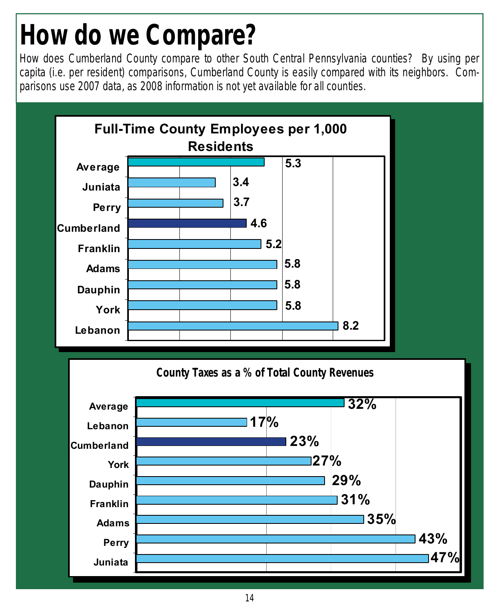# **How do we Compare?**

How does Cumberland County compare to other South Central Pennsylvania counties? By using per capita (i.e. per resident) comparisons, Cumberland County is easily compared with its neighbors. Comparisons use 2007 data, as 2008 information is not yet available for all counties.



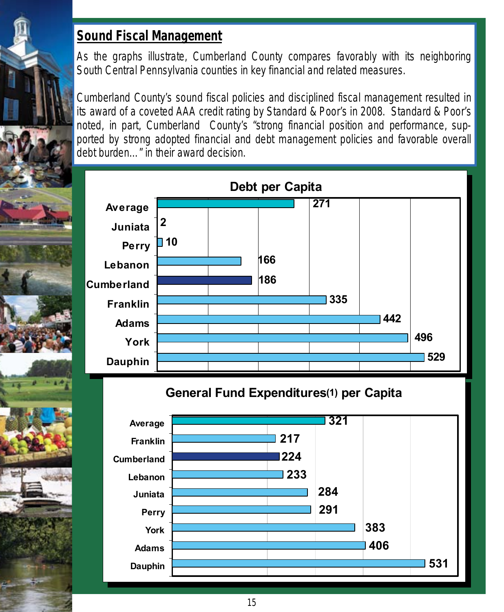## **Sound Fiscal Management**

As the graphs illustrate, Cumberland County compares favorably with its neighboring South Central Pennsylvania counties in key financial and related measures.

Cumberland County's sound fiscal policies and disciplined fiscal management resulted in its award of a coveted AAA credit rating by Standard & Poor's in 2008. Standard & Poor's noted, in part, Cumberland County's "*strong financial position and performance, supported by strong adopted financial and debt management policies and favorable overall debt burden…*" in their award decision.



**General Fund Expenditures(1) per Capita General Fund Expenditures(1) per Capita**

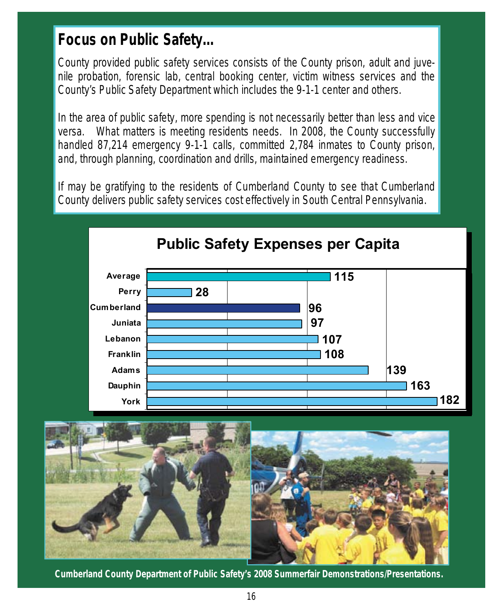## **Focus on Public Safety…**

County provided public safety services consists of the County prison, adult and juvenile probation, forensic lab, central booking center, victim witness services and the County's Public Safety Department which includes the 9-1-1 center and others.

In the area of public safety, more spending is not necessarily better than less and vice versa. What matters is meeting residents needs. In 2008, the County successfully handled 87,214 emergency 9-1-1 calls, committed 2,784 inmates to County prison, and, through planning, coordination and drills, maintained emergency readiness.

If may be gratifying to the residents of Cumberland County to see that Cumberland County delivers public safety services cost effectively in South Central Pennsylvania.





**Cumberland County Department of Public Safety's 2008 Summerfair Demonstrations/Presentations.**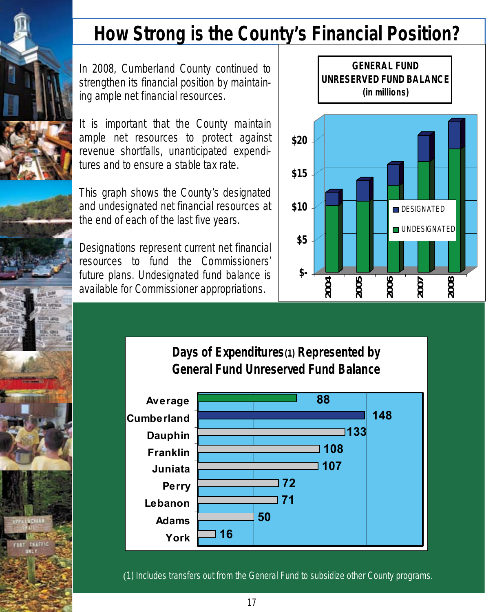

## **How Strong is the County's Financial Position?**

In 2008, Cumberland County continued to strengthen its financial position by maintaining ample net financial resources.

It is important that the County maintain ample net resources to protect against revenue shortfalls, unanticipated expenditures and to ensure a stable tax rate.

This graph shows the County's designated and undesignated net financial resources at the end of each of the last five years.

Designations represent current net financial resources to fund the Commissioners' future plans. Undesignated fund balance is available for Commissioner appropriations.



**Days of Expenditures(1) Represented by General Fund Unreserved Fund Balance**



(1) Includes transfers out from the General Fund to subsidize other County programs.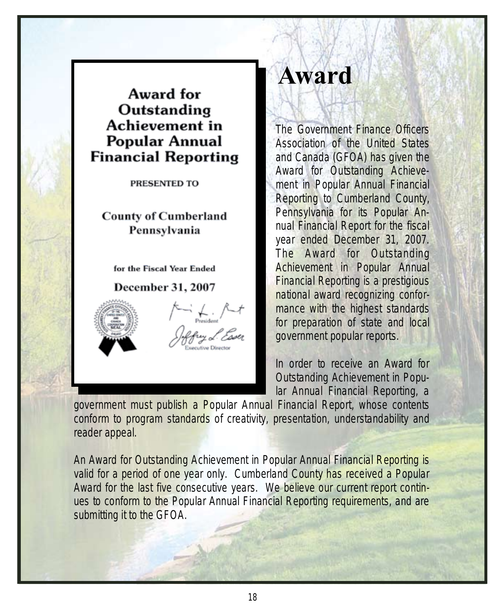## Award for Outstanding Achievement in **Popular Annual Financial Reporting**

PRESENTED TO

**County of Cumberland** Pennsylvania

for the Fiscal Year Ended

**December 31, 2007** 



## **Award**

The Government Finance Officers Association of the United States and Canada (GFOA) has given the Award for Outstanding Achievement in Popular Annual Financial Reporting to Cumberland County, Pennsylvania for its Popular Annual Financial Report for the fiscal year ended December 31, 2007. The Award for Outstanding Achievement in Popular Annual Financial Reporting is a prestigious national award recognizing conformance with the highest standards for preparation of state and local government popular reports.

In order to receive an Award for Outstanding Achievement in Popular Annual Financial Reporting, a

government must publish a Popular Annual Financial Report, whose contents conform to program standards of creativity, presentation, understandability and reader appeal.

An Award for Outstanding Achievement in Popular Annual Financial Reporting is valid for a period of one year only. Cumberland County has received a Popular Award for the last five consecutive years. We believe our current report continues to conform to the Popular Annual Financial Reporting requirements, and are submitting it to the GFOA.